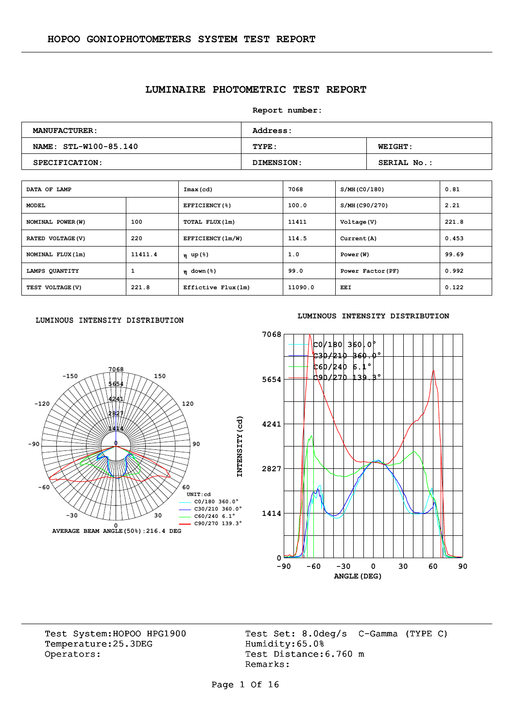## **LUMINAIRE PHOTOMETRIC TEST REPORT**

**Report number:** 

| <b>MANUFACTURER:</b>  | <b>Address:</b> |                    |  |  |  |  |  |
|-----------------------|-----------------|--------------------|--|--|--|--|--|
| NAME: STL-W100-85.140 | TYPE:           | <b>WEIGHT:</b>     |  |  |  |  |  |
| SPECIFICATION:        | DIMENSION:      | <b>SERIAL No.:</b> |  |  |  |  |  |

| DATA OF LAMP      |         | Imax(cd)                               | 7068    | S/MH (CO/180)     | 0.81  |
|-------------------|---------|----------------------------------------|---------|-------------------|-------|
| <b>MODEL</b>      |         | EFFICIENCY(%)                          | 100.0   | S/MH(C90/270)     | 2.21  |
| NOMINAL POWER (W) | 100     | TOTAL FLUX(1m)                         | 11411   | Voltage (V)       | 221.8 |
| RATED VOLTAGE (V) | 220     | EFFICIENCY (1m/W)                      | 114.5   | Current (A)       | 0.453 |
| NOMINAL FLUX (1m) | 11411.4 | η up(%)                                | 1.0     | Power (W)         | 99.69 |
| LAMPS QUANTITY    | 1       | $n \text{ down } (\text{\textdegree})$ | 99.0    | Power Factor (PF) | 0.992 |
| TEST VOLTAGE (V)  | 221.8   | Effictive Flux (1m)                    | 11090.0 | EEI               | 0.122 |

#### LUMINOUS INTENSITY DISTRIBUTION



#### **LUMINOUS INTENSITY DISTRIBUTION**



Temperature:25.3DEG Operators: Test Distance: 6.760 m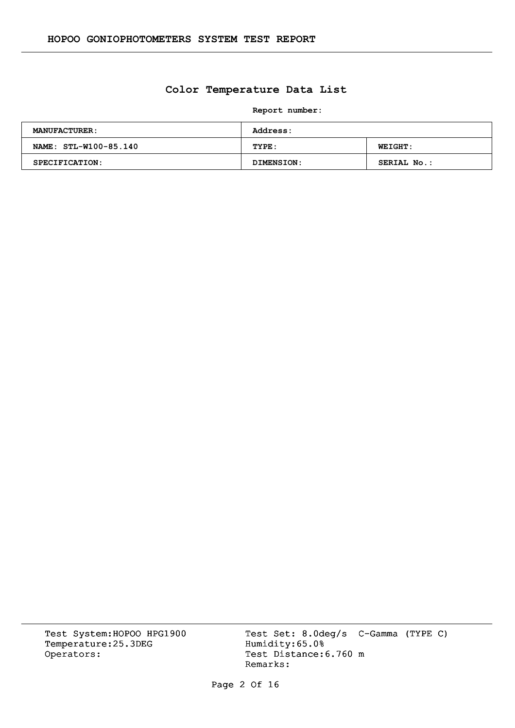## **Color Temperature Data List**

**Report number:** 

| <b>MANUFACTURER:</b>  | <b>Address:</b> |                |  |  |  |  |  |
|-----------------------|-----------------|----------------|--|--|--|--|--|
| NAME: STL-W100-85.140 | TYPE:           | <b>WEIGHT:</b> |  |  |  |  |  |
| <b>SPECIFICATION:</b> | DIMENSION:      | SERIAL No.:    |  |  |  |  |  |

Temperature:25.3DEG Operators: Test Distance: 6.760 m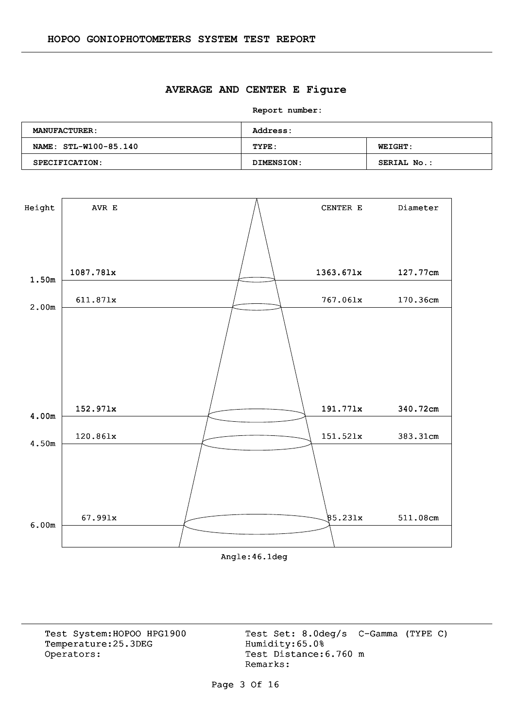#### **AVERAGE AND CENTER E Figure**

**Report number:** 

| <b>MANUFACTURER:</b>  | <b>Address:</b> |                    |  |  |  |  |  |
|-----------------------|-----------------|--------------------|--|--|--|--|--|
| NAME: STL-W100-85.140 | TYPE:           | <b>WEIGHT:</b>     |  |  |  |  |  |
| SPECIFICATION:        | DIMENSION:      | <b>SERIAL No.:</b> |  |  |  |  |  |



Angle:46.1deg

Temperature:25.3DEG Operators: Test Distance: 6.760 m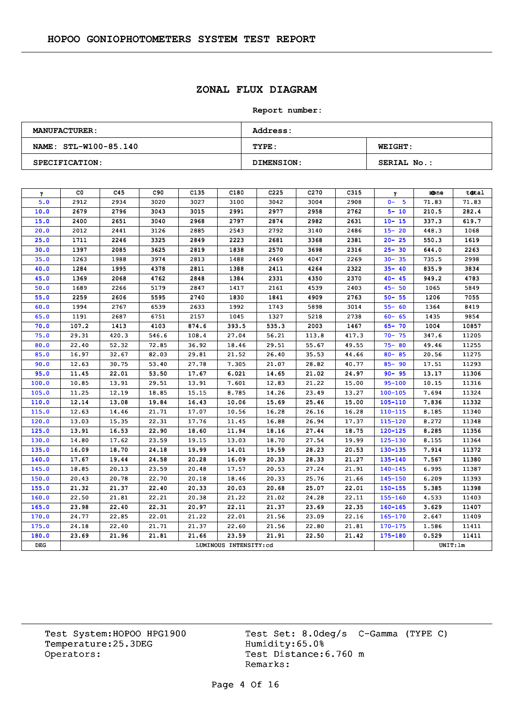# **ZONAL FLUX DIAGRAM**

#### **Report number:**

| <b>MANUFACTURER:</b>  | <b>Address:</b> |                |  |  |  |  |  |
|-----------------------|-----------------|----------------|--|--|--|--|--|
| NAME: STL-W100-85.140 | TYPE:           | <b>WEIGHT:</b> |  |  |  |  |  |
| SPECIFICATION:        | DIMENSION:      | SERIAL No.:    |  |  |  |  |  |

| γ     | CO.   | C45   | C90   | C <sub>135</sub> | C180                  | C <sub>225</sub> | C <sub>270</sub> | C315  | γ           | zone     | total |
|-------|-------|-------|-------|------------------|-----------------------|------------------|------------------|-------|-------------|----------|-------|
| 5.0   | 2912  | 2934  | 3020  | 3027             | 3100                  | 3042             | 3004             | 2908  | $0 - 5$     | 71.83    | 71.83 |
| 10.0  | 2679  | 2796  | 3043  | 3015             | 2991                  | 2977             | 2958             | 2762  | $5 - 10$    | 210.5    | 282.4 |
| 15.0  | 2400  | 2651  | 3040  | 2968             | 2797                  | 2874             | 2982             | 2631  | $10 - 15$   | 337.3    | 619.7 |
| 20.0  | 2012  | 2441  | 3126  | 2885             | 2543                  | 2792             | 3140             | 2486  | $15 - 20$   | 448.3    | 1068  |
| 25.0  | 1711  | 2246  | 3325  | 2849             | 2223                  | 2681             | 3368             | 2381  | $20 - 25$   | 550.3    | 1619  |
| 30.0  | 1397  | 2085  | 3625  | 2819             | 1838                  | 2570             | 3698             | 2316  | $25 - 30$   | 644.0    | 2263  |
| 35.0  | 1263  | 1988  | 3974  | 2813             | 1488                  | 2469             | 4047             | 2269  | $30 - 35$   | 735.5    | 2998  |
| 40.0  | 1284  | 1995  | 4378  | 2811             | 1388                  | 2411             | 4264             | 2322  | $35 - 40$   | 835.9    | 3834  |
| 45.0  | 1369  | 2068  | 4762  | 2848             | 1384                  | 2331             | 4350             | 2370  | $40 - 45$   | 949.2    | 4783  |
| 50.0  | 1689  | 2266  | 5179  | 2847             | 1417                  | 2161             | 4539             | 2403  | $45 - 50$   | 1065     | 5849  |
| 55.0  | 2259  | 2606  | 5595  | 2740             | 1830                  | 1841             | 4909             | 2763  | $50 - 55$   | 1206     | 7055  |
| 60.0  | 1994  | 2767  | 6539  | 2633             | 1992                  | 1743             | 5898             | 3014  | $55 - 60$   | 1364     | 8419  |
| 65.0  | 1191  | 2687  | 6751  | 2157             | 1045                  | 1327             | 5218             | 2738  | $60 - 65$   | 1435     | 9854  |
| 70.0  | 107.2 | 1413  | 4103  | 874.6            | 393.5                 | 535.3            | 2003             | 1467  | $65 - 70$   | 1004     | 10857 |
| 75.0  | 29.31 | 420.3 | 546.6 | 108.4            | 27.04                 | 56.21            | 113.8            | 417.3 | $70 - 75$   | 347.6    | 11205 |
| 80.0  | 22.40 | 52.32 | 72.85 | 36.92            | 18.46                 | 29.51            | 55.67            | 49.55 | $75 - 80$   | 49.46    | 11255 |
| 85.0  | 16.97 | 32.67 | 82.03 | 29.81            | 21.52                 | 26.40            | 35.53            | 44.66 | $80 - 85$   | 20.56    | 11275 |
| 90.0  | 12.63 | 30.75 | 53.40 | 27.78            | 7.305                 | 21.07            | 28.82            | 40.77 | $85 - 90$   | 17.51    | 11293 |
| 95.0  | 11.45 | 22.01 | 53.50 | 17.67            | 6.021                 | 14.65            | 21.02            | 24.97 | $90 - 95$   | 13.17    | 11306 |
| 100.0 | 10.85 | 13.91 | 29.51 | 13.91            | 7.601                 | 12.83            | 21.22            | 15.00 | $95 - 100$  | 10.15    | 11316 |
| 105.0 | 11.25 | 12.19 | 18.85 | 15.15            | 8.785                 | 14.26            | 23.49            | 13.27 | $100 - 105$ | 7.694    | 11324 |
| 110.0 | 12.14 | 13.08 | 19.84 | 16.43            | 10.06                 | 15.69            | 25.46            | 15.00 | $105 - 110$ | 7.836    | 11332 |
| 115.0 | 12.63 | 14.46 | 21.71 | 17.07            | 10.56                 | 16.28            | 26.16            | 16.28 | $110 - 115$ | 8.185    | 11340 |
| 120.0 | 13.03 | 15.35 | 22.31 | 17.76            | 11.45                 | 16.88            | 26.94            | 17.37 | $115 - 120$ | 8.272    | 11348 |
| 125.0 | 13.91 | 16.53 | 22.90 | 18.60            | 11.94                 | 18.16            | 27.44            | 18.75 | $120 - 125$ | 8.285    | 11356 |
| 130.0 | 14.80 | 17.62 | 23.59 | 19.15            | 13.03                 | 18.70            | 27.54            | 19.99 | $125 - 130$ | 8.155    | 11364 |
| 135.0 | 16.09 | 18.70 | 24.18 | 19.99            | 14.01                 | 19.59            | 28.23            | 20.53 | $130 - 135$ | 7.914    | 11372 |
| 140.0 | 17.67 | 19.44 | 24.58 | 20.28            | 16.09                 | 20.33            | 28.33            | 21.27 | 135-140     | 7.567    | 11380 |
| 145.0 | 18.85 | 20.13 | 23.59 | 20.48            | 17.57                 | 20.53            | 27.24            | 21.91 | $140 - 145$ | 6.995    | 11387 |
| 150.0 | 20.43 | 20.78 | 22.70 | 20.18            | 18.46                 | 20.33            | 25.76            | 21.66 | $145 - 150$ | 6.209    | 11393 |
| 155.0 | 21.32 | 21.37 | 22.40 | 20.33            | 20.03                 | 20.68            | 25.07            | 22.01 | $150 - 155$ | 5.385    | 11398 |
| 160.0 | 22.50 | 21.81 | 22.21 | 20.38            | 21.22                 | 21.02            | 24.28            | 22.11 | $155 - 160$ | 4.533    | 11403 |
| 165.0 | 23.98 | 22.40 | 22.31 | 20.97            | 22.11                 | 21.37            | 23.69            | 22.35 | $160 - 165$ | 3.629    | 11407 |
| 170.0 | 24.77 | 22.85 | 22.01 | 21.22            | 22.01                 | 21.56            | 23.09            | 22.16 | 165-170     | 2.647    | 11409 |
| 175.0 | 24.18 | 22.40 | 21.71 | 21.37            | 22.60                 | 21.56            | 22.80            | 21.81 | $170 - 175$ | 1.586    | 11411 |
| 180.0 | 23.69 | 21.96 | 21.81 | 21.66            | 23.59                 | 21.91            | 22.50            | 21.42 | $175 - 180$ | 0.529    | 11411 |
| DEG   |       |       |       |                  | LUMINOUS INTENSITY:cd |                  |                  |       |             | UNIT: 1m |       |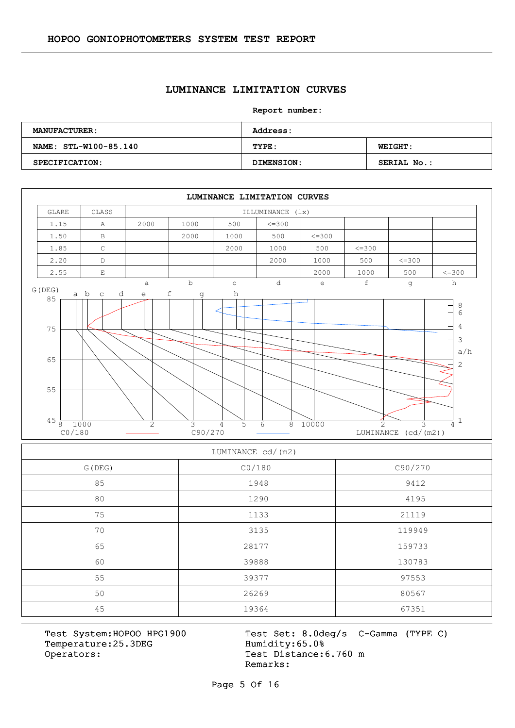#### **LUMINANCE LIMITATION CURVES**

**Report number:** 

| <b>MANUFACTURER:</b>  | Address:   |                    |  |  |  |  |  |
|-----------------------|------------|--------------------|--|--|--|--|--|
| NAME: STL-W100-85.140 | TYPE:      | <b>WEIGHT:</b>     |  |  |  |  |  |
| SPECIFICATION:        | DIMENSION: | <b>SERIAL No.:</b> |  |  |  |  |  |



| LUMINANCE cd/(m2) |        |         |  |  |  |  |  |  |
|-------------------|--------|---------|--|--|--|--|--|--|
| G (DEG)           | CO/180 | C90/270 |  |  |  |  |  |  |
| 85                | 1948   | 9412    |  |  |  |  |  |  |
| 80                | 1290   | 4195    |  |  |  |  |  |  |
| 75                | 1133   | 21119   |  |  |  |  |  |  |
| 70                | 3135   | 119949  |  |  |  |  |  |  |
| 65                | 28177  | 159733  |  |  |  |  |  |  |
| 60                | 39888  | 130783  |  |  |  |  |  |  |
| 55                | 39377  | 97553   |  |  |  |  |  |  |
| 50                | 26269  | 80567   |  |  |  |  |  |  |
| 45                | 19364  | 67351   |  |  |  |  |  |  |

Temperature:25.3DEG Operators: Test Distance: 6.760 m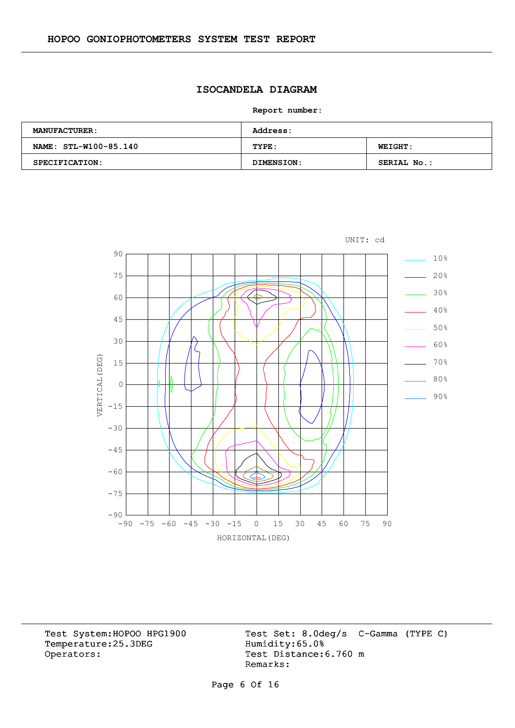# **ISOCANDELA DIAGRAM**

**Report number:** 

| <b>MANUFACTURER:</b>  | <b>Address:</b> |                    |  |  |  |  |  |
|-----------------------|-----------------|--------------------|--|--|--|--|--|
| NAME: STL-W100-85.140 | TYPE:           | <b>WEIGHT:</b>     |  |  |  |  |  |
| <b>SPECIFICATION:</b> | DIMENSION:      | <b>SERIAL No.:</b> |  |  |  |  |  |



Temperature:25.3DEG Operators: Test Distance: 6.760 m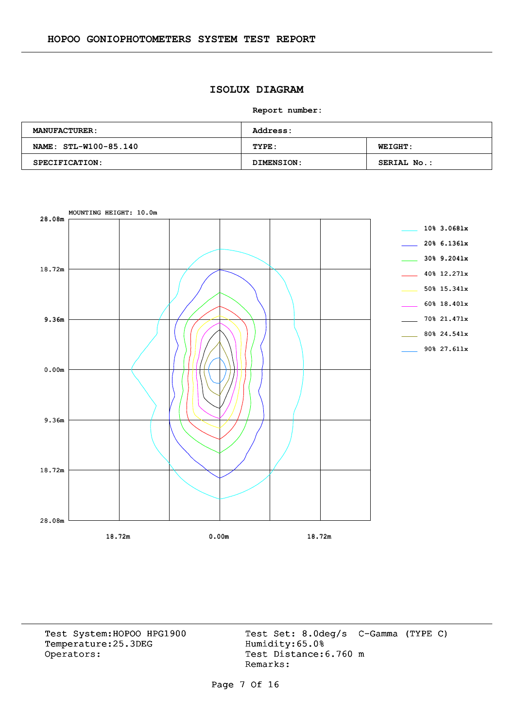# **ISOLUX DIAGRAM**

**Report number:** 

| <b>MANUFACTURER:</b>  | <b>Address:</b> |                    |  |  |  |  |  |
|-----------------------|-----------------|--------------------|--|--|--|--|--|
| NAME: STL-W100-85.140 | TYPE:           | <b>WEIGHT:</b>     |  |  |  |  |  |
| SPECIFICATION:        | DIMENSION:      | <b>SERIAL No.:</b> |  |  |  |  |  |



Temperature:25.3DEG Operators: Test Distance: 6.760 m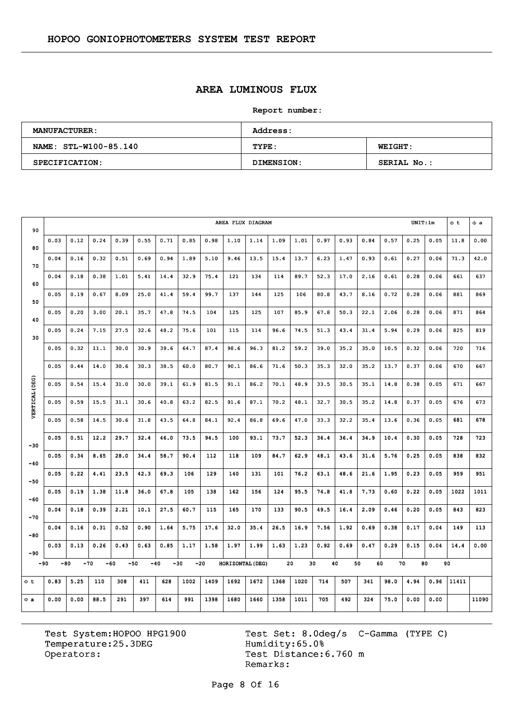# **AREA LUMINOUS FLUX**

**Report number:** 

| <b>MANUFACTURER:</b>  | Address:   |                    |  |  |  |  |  |
|-----------------------|------------|--------------------|--|--|--|--|--|
| NAME: STL-W100-85.140 | TYPE:      | <b>WEIGHT:</b>     |  |  |  |  |  |
| SPECIFICATION:        | DIMENSION: | <b>SERIAL No.:</b> |  |  |  |  |  |

| 90             | UNIT:lm<br>AREA FLUX DIAGRAM |      |                |      |      |                |      |       |                  |      |      |      |      |          | $\Phi$ t | $\Phi$ a |      |      |       |       |
|----------------|------------------------------|------|----------------|------|------|----------------|------|-------|------------------|------|------|------|------|----------|----------|----------|------|------|-------|-------|
| 80             | 0.03                         | 0.12 | 0.24           | 0.39 | 0.55 | 0.71           | 0.85 | 0.98  | 1,10             | 1.14 | 1.09 | 1.01 | 0.97 | 0.93     | 0.84     | 0.57     | 0.25 | 0.05 | 11.8  | 0.00  |
| 70             | 0.04                         | 0.16 | 0.32           | 0.51 | 0.69 | 0.94           | 1.89 | 5.10  | 9.46             | 13.5 | 15.4 | 13.7 | 6.23 | 1.47     | 0.93     | 0.61     | 0.27 | 0.06 | 71.3  | 42.0  |
| 60             | 0.04                         | 0.18 | 0.38           | 1.01 | 5.41 | 14.4           | 32.9 | 75.4  | 121              | 134  | 114  | 89.7 | 52.3 | 17.0     | 2.16     | 0.61     | 0.28 | 0.06 | 661   | 637   |
| 50             | 0.05                         | 0.19 | 0.67           | 8.09 | 25.0 | 41.4           | 59.4 | 99.7  | 137              | 144  | 125  | 106  | 80.8 | 43.7     | 8.16     | 0.72     | 0.28 | 0.06 | 881   | 869   |
| 40             | 0.05                         | 0.20 | 3.00           | 20.1 | 35.7 | 47.8           | 74.5 | 104   | 125              | 125  | 107  | 85.9 | 67.8 | 50.3     | 22.1     | 2.06     | 0.28 | 0.06 | 871   | 864   |
|                | 0.05                         | 0.24 | 7.15           | 27.5 | 32.6 | 48.2           | 75.6 | 101   | 115              | 114  | 96.6 | 74.5 | 51.3 | 43.4     | 31.4     | 5.94     | 0.29 | 0.06 | 825   | 819   |
| 30             | 0.05                         | 0.32 | 11.1           | 30.0 | 30.9 | 39.6           | 64.7 | 87.4  | 98.6             | 96.3 | 81.2 | 59.2 | 39.0 | 35.2     | 35.0     | 10.5     | 0.32 | 0.06 | 720   | 716   |
|                | 0.05                         | 0.44 | 14.0           | 30.6 | 30.3 | 38.5           | 60.0 | 80.7  | 90.1             | 86.6 | 71.6 | 50.3 | 35.3 | 32.0     | 35.2     | 13.7     | 0.37 | 0.06 | 670   | 667   |
|                | 0.05                         | 0.54 | 15.4           | 31.0 | 30.0 | 39.1           | 61.9 | 81.5  | 91.1             | 86.2 | 70.1 | 48.9 | 33.5 | 30.5     | 35.1     | 14.8     | 0.38 | 0.05 | 671   | 667   |
| VERTICAL (DEG) | 0.05                         | 0.59 | 15.5           | 31.1 | 30.6 | 40.8           | 63.2 | 82.5  | 91.6             | 87.1 | 70.2 | 48.1 | 32.7 | 30.5     | 35.2     | 14.8     | 0.37 | 0.05 | 676   | 673   |
|                | 0.05                         | 0.58 | 14.5           | 30.6 | 31.8 | 43.5           | 64.8 | 84.1  | 92.4             | 86.8 | 69.6 | 47.0 | 33.3 | 32.2     | 35.4     | 13.6     | 0.36 | 0.05 | 681   | 678   |
|                | 0.05                         | 0.51 | 12.2           | 29.7 | 32.4 | 46.0           | 73.5 | 94.5  | 100              | 93.1 | 73.7 | 52.3 | 36.4 | 36.4     | 34.9     | 10.4     | 0.30 | 0.05 | 728   | 723   |
| $-30$          | 0.05                         | 0.34 | 8.65           | 28.0 | 34.4 | 58.7           | 90.4 | 112   | 118              | 109  | 84.7 | 62.9 | 48.1 | 43.6     | 31.6     | 5.76     | 0.25 | 0.05 | 838   | 832   |
| $-40$          | 0.05                         | 0.22 | 4.41           | 23.5 | 42.3 | 69.3           | 106  | 129   | 140              | 131  | 101  | 76.2 | 63.1 | 48.6     | 21.6     | 1.95     | 0.23 | 0.05 | 959   | 951   |
| $-50$          | 0.05                         | 0.19 | 1.38           | 11.8 | 36.0 | 67.8           | 105  | 138   | 162              | 156  | 124  | 95.5 | 74.8 | 41.8     | 7.73     | 0.60     | 0.22 | 0.05 | 1022  | 1011  |
| $-60$          |                              | 0.18 | 0.39           | 2.21 |      | 27.5           | 60.7 |       | 165              | 170  | 133  | 90.5 | 49.5 | 16.4     |          | 0.46     | 0.20 | 0.05 |       | 823   |
| $-70$          | 0.04                         |      |                |      | 10.1 |                |      | 115   |                  |      |      |      |      |          | 2.09     |          |      |      | 843   |       |
| $-80$          | 0.04                         | 0.16 | 0.31           | 0.52 | 0.90 | 1.64           | 5.75 | 17.6  | 32.0             | 35.4 | 26.5 | 16.9 | 7.56 | 1.92     | 0.69     | 0.38     | 0.17 | 0.04 | 149   | 113   |
| $-90$          | 0.03                         | 0.13 | 0.26           | 0.43 | 0.63 | 0.85           | 1.17 | 1.58  | 1.97             | 1.99 | 1.63 | 1.23 | 0.92 | 0.69     | 0.47     | 0.29     | 0.15 | 0.04 | 14.4  | 0.00  |
| -90            | -80                          |      | $-70$<br>$-60$ |      | -50  | $-40$<br>$-30$ |      | $-20$ | HORIZONTAL (DEG) |      |      | 20   | 30   | 40<br>50 | 60       | 70       | 80   |      | 90    |       |
| Φt             | 0.83                         | 5.25 | 110            | 308  | 411  | 628            | 1002 | 1409  | 1692             | 1672 | 1368 | 1020 | 714  | 507      | 341      | 98.0     | 4.94 | 0.96 | 11411 |       |
| $\Phi$ a       | 0.00                         | 0.00 | 88.5           | 291  | 397  | 614            | 991  | 1398  | 1680             | 1660 | 1358 | 1011 | 705  | 492      | 324      | 75.0     | 0.00 | 0.00 |       | 11090 |

Temperature:25.3DEG Operators: Test Distance: 6.760 m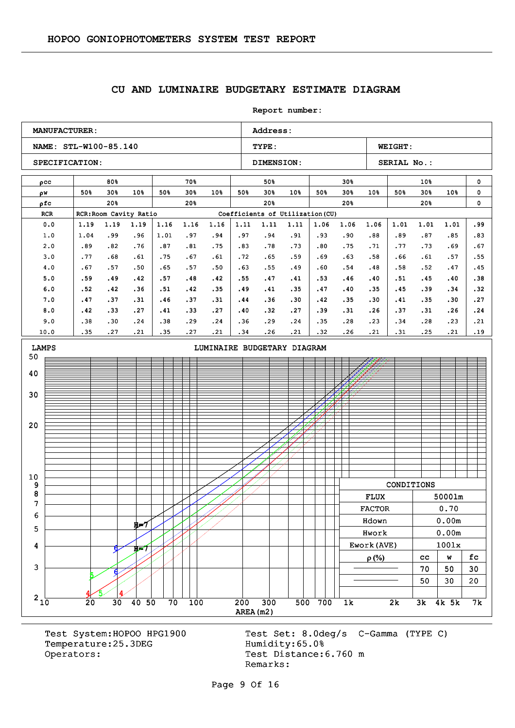#### **CU AND LUMINAIRE BUDGETARY ESTIMATE DIAGRAM**

**Report number: NAME: STL-W100-85.140 TYPE: WEIGHT:** SPECIFICATION: DIMENSION: SERIAL No.: **MANUFACTURER:** Address: ρcc w ρ ρfc RCR RCR:Room Cavity Ratio Coefficients of Utilization (CU) 80% 50% 30% 50% 30% 10% 20% 70% 50% 30% 50% 30% 10% 20% 50% 50% 30% 50% 30% 10% 20% 30% 50% 30% 50% 30% 10% 20% 10% 50% 30% 50% 30% 10% 20% 0  $\mathbf{0}$ 0 0.0 1.0 2.0 3.0 4.0 5.0 6.0 7.0 8.0 9.0 10.0 1.19 1.04 .89 .77 .67 .59 .52 .47 .42 .38 .35 1.19 .99 .82 .68 .57 .49 .42 .37 .33 .30 .27 1.19 .96 .76 .61 .50 .42 .36 .31 .27 .24 .21 1.16 1.01 .87 .75 .65 .57 .51 .46 .41 .38 .35 1.16 .97 .81 .67 .57 .48 .42 .37 .33 .29 .27 1.16 .94 .75 .61 .50 .42 .35 .31 .27 .24 .21 1.11 .97 .83 .72 .63 .55 .49 .44 .40 .36 .34 1.11 .94 .78 .65 .55 .47 .41 .36 .32 .29 .26 1.11 .91 .73 .59 .49 .41 .35 .30 .27 .24 .21 1.06 .93 .80 .69 .60 .53 .47 .42 .39 .35 .32 1.06 .90 .75 .63 .54 .46 .40 .35 .31 .28 .26 1.06 .88 .71 .58 .48 .40 .35 .30 .26 .23 .21 1.01 .89 .77 .66 .58 .51 .45 .41 .37 .34 .31 1.01 .87 .73 .61 .52 .45 .39 .35 .31 .28 .25 1.01 .85 .69 .57 .47 .40 .34 .30 .26  $.23$ .21 .99 .83 .67 .55 .45 .38 .32 .27 .24 .21 .19 AREA(m2)  $210$  20 30 40 50 70 100 200 300 500 700 1k 2k 3k 4k 5k 7k 3 4 5 6 7 8 9 10 20 30 40 50 LAMPS **LAMPS LIMINAIRE BUDGETARY DIAGRAM**  $5/14$ 6 H=7 4 5 6 H=7 CONDITIONS FLUX 5000lm FLUX 5000lm FACTOR 0.70 Hdown 0.00m Hdown 0.00m Hwork 0.00m Hwork 0.00m Ework(AVE)  $\vert$  1001x  $\rho(\%)$  | cc | w | fc  $70 \mid 50 \mid 30$  $50 \mid 30 \mid 20$ 

Temperature: 25.3DEG Humidity: 65.0% Operators: Test Distance: 6.760 m

Test System:HOPOO HPG1900 Test Set: 8.0deg/s C-Gamma (TYPE C) Remarks: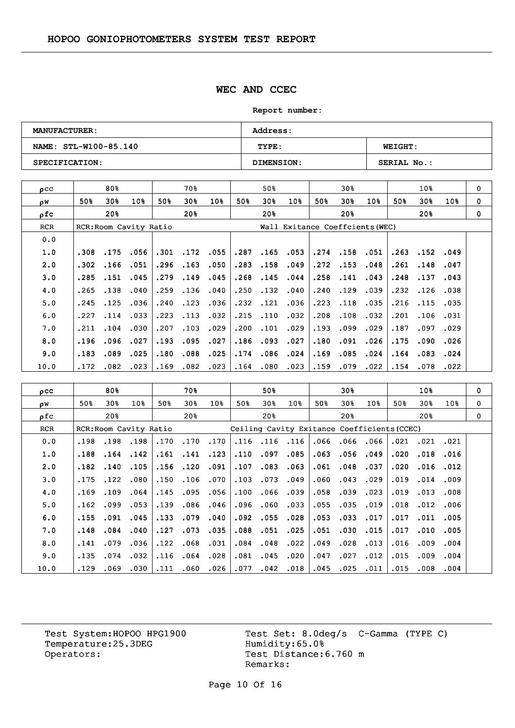### **WEC AND CCEC**

**Report number:** 

| <b>MANUFACTURER:</b>  | <b>Address:</b> |                |
|-----------------------|-----------------|----------------|
| NAME: STL-W100-85.140 | TYPE:           | <b>WEIGHT:</b> |
| SPECIFICATION:        | DIMENSION:      | SERIAL No.:    |

| ρCC        |      | 80%             |                        |      | 70월                             |             |      | 50%  |                 |      | 30 <sub>8</sub> |      |      | 10 <sub>8</sub> |      | 0        |
|------------|------|-----------------|------------------------|------|---------------------------------|-------------|------|------|-----------------|------|-----------------|------|------|-----------------|------|----------|
| ΩW         | 50%  | 30 <sub>8</sub> | 10%                    | 50%  | 30%                             | 10%         | 50%  | 30%  | 10 <sub>8</sub> | 50%  | 30%             | 10%  | 50%  | 30%             | 10%  | $\Omega$ |
| ρfc        |      | 20 <sub>8</sub> |                        |      | 20%                             |             |      | 20%  |                 |      | 20%             |      |      | 20 <sub>8</sub> |      | $\Omega$ |
| <b>RCR</b> |      |                 | RCR: Room Cavity Ratio |      | Wall Exitance Coeffcients (WEC) |             |      |      |                 |      |                 |      |      |                 |      |          |
| 0.0        |      |                 |                        |      |                                 |             |      |      |                 |      |                 |      |      |                 |      |          |
| 1.0        | .308 | .175            | .056                   | .301 |                                 | $.172$ .055 | .287 | .165 | .053            |      | .274.158        | .051 | .263 | .152            | .049 |          |
| 2.0        | .302 | .166            | .051                   | .296 | .163                            | .050        | .283 | .158 | .049            | .272 | .153            | .048 | .261 | .148            | .047 |          |
| 3.0        | .285 | .151            | .045                   | .279 | .149                            | .045        | .268 | .145 | .044            | .258 | .141            | .043 | .248 | .137            | .043 |          |
| 4.0        | .265 | .138            | .040                   | .259 | .136                            | .040        | .250 | .132 | .040            | .240 | .129            | .039 | .232 | .126            | .038 |          |
| 5.0        | .245 | .125            | .036                   | .240 | .123                            | .036        | .232 | .121 | .036            | .223 | .118            | .035 | .216 | .115            | .035 |          |
| 6.0        | .227 | .114            | .033                   | .223 | .113                            | .032        | .215 | .110 | .032            | .208 | .108            | .032 | .201 | .106            | .031 |          |
| 7.0        | .211 | .104            | .030                   | .207 | .103                            | .029        | .200 | .101 | .029            | .193 | .099            | .029 | .187 | .097            | .029 |          |
| 8.0        | .196 | .096            | .027                   | .193 | .095                            | .027        | .186 | .093 | .027            | .180 | .091            | .026 | .175 | .090            | .026 |          |
| 9.0        | .183 | .089            | .025                   | .180 | .088                            | .025        | .174 | .086 | .024            | .169 | .085            | .024 | .164 | .083            | .024 |          |
| 10.0       | .172 | .082            | .023                   | .169 | .082                            | .023        | .164 | .080 | .023            | .159 | .079            | .022 | .154 | .078            | .022 |          |

| $_{\text{pcc}}$ |      | 80%             |                        |      | 70%             |                 |      | 50 <sub>8</sub> |                                             |      | 30%  |      |      | 10%             |      | $\mathbf 0$ |
|-----------------|------|-----------------|------------------------|------|-----------------|-----------------|------|-----------------|---------------------------------------------|------|------|------|------|-----------------|------|-------------|
| οw              | 50%  | 30%             | 10 <sub>8</sub>        | 50%  | 30 <sub>8</sub> | 10 <sub>8</sub> | 50%  | 30%             | 10 <sub>8</sub>                             | 50%  | 30%  | 10%  | 50%  | 30%             | 10%  | 0           |
| ofc             |      | 20 <sub>8</sub> |                        |      | 20 <sup>8</sup> |                 |      | 20%             |                                             |      | 20%  |      |      | 20 <sub>8</sub> |      | 0           |
| <b>RCR</b>      |      |                 | RCR: Room Cavity Ratio |      |                 |                 |      |                 | Ceiling Cavity Exitance Coefficients (CCEC) |      |      |      |      |                 |      |             |
| 0.0             | .198 | .198            | .198                   | .170 | .170            | .170            |      | .116.116        | .116                                        | .066 | .066 | .066 | .021 | .021            | .021 |             |
| 1.0             | .188 | .164            | .142                   | .161 | .141            | .123            | .110 | .097            | .085                                        | .063 | .056 | .049 | .020 | .018            | .016 |             |
| 2.0             | .182 | .140            | .105                   | .156 | .120            | .091            | .107 | .083            | .063                                        | .061 | .048 | .037 | .020 | .016            | .012 |             |
| 3.0             | .175 | .122            | .080                   | .150 | .106            | .070            | .103 | .073            | .049                                        | .060 | .043 | .029 | .019 | .014            | .009 |             |
| 4.0             | .169 | .109            | .064                   | .145 | .095            | .056            | .100 | .066            | .039                                        | .058 | .039 | .023 | .019 | .013            | .008 |             |
| 5.0             | .162 | .099            | .053                   | .139 |                 | .086.046        | .096 | .060            | .033                                        | .055 | .035 | .019 | .018 | .012            | .006 |             |
| 6.0             | .155 | .091            | .045                   | .133 | .079            | .040            | .092 | .055            | .028                                        | .053 | .033 | .017 | .017 | .011            | .005 |             |
| 7.0             | .148 | .084            | .040                   | .127 | .073            | .035            | .088 | .051            | .025                                        | .051 | .030 | .015 | .017 | .010            | .005 |             |
| 8.0             | .141 | .079            | .036                   | .122 | .068            | .031            | .084 | .048            | .022                                        | .049 | .028 | .013 | .016 | .009            | .004 |             |
| 9.0             | .135 | .074            | .032                   | .116 | .064            | .028            | .081 | .045            | .020                                        | .047 | .027 | .012 | .015 | .009            | .004 |             |
| 10.0            | .129 | .069            | .030                   | .111 | .060            | .026            | .077 | .042            | .018                                        | .045 | .025 | .011 | .015 | .008            | .004 |             |

Temperature:25.3DEG Operators: Test Distance: 6.760 m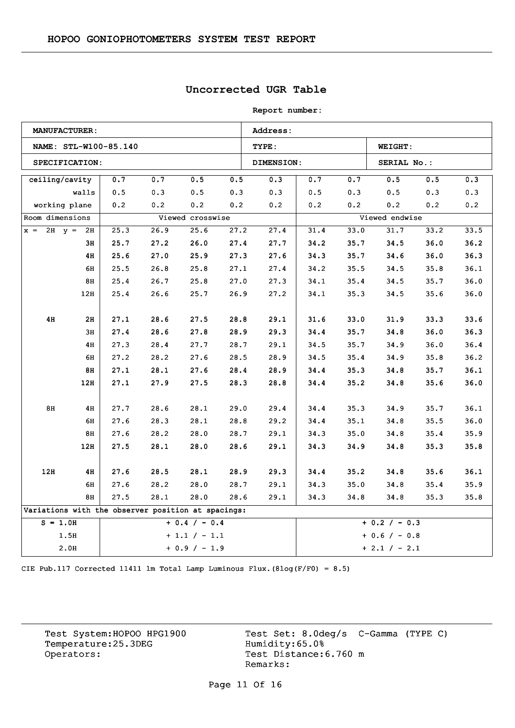## **Uncorrected UGR Table**

**Report number:** 

|                   | <b>MANUFACTURER:</b> |                       |      |                                                    |      | Address:   |      |      |                 |      |      |  |  |
|-------------------|----------------------|-----------------------|------|----------------------------------------------------|------|------------|------|------|-----------------|------|------|--|--|
|                   |                      | NAME: STL-W100-85.140 |      |                                                    |      | TYPE:      |      |      | <b>WEIGHT:</b>  |      |      |  |  |
|                   | SPECIFICATION:       |                       |      |                                                    |      | DIMENSION: |      |      | SERIAL No.:     |      |      |  |  |
| ceiling/cavity    |                      | 0.7                   | 0.7  | 0.5                                                | 0.5  | 0.3        | 0.7  | 0.7  | 0.5             | 0.5  | 0.3  |  |  |
|                   | walls                | 0.5                   | 0.3  | 0.5                                                | 0.3  | 0.3        | 0.5  | 0.3  | 0.5             | 0.3  | 0.3  |  |  |
|                   | working plane        | 0.2                   | 0.2  | 0.2                                                | 0.2  | 0.2        | 0.2  | 0.2  | 0.2             | 0.2  | 0.2  |  |  |
| Room dimensions   |                      |                       |      | Viewed crosswise                                   |      |            |      |      | Viewed endwise  |      |      |  |  |
| $x = 2H$ $y = 2H$ |                      | 25.3                  | 26.9 | 25.6                                               | 27.2 | 27.4       | 31.4 | 33.0 | 31.7            | 33.2 | 33.5 |  |  |
|                   | 3н                   | 25.7                  | 27.2 | 26.0                                               | 27.4 | 27.7       | 34.2 | 35.7 | 34.5            | 36.0 | 36.2 |  |  |
|                   | 4H                   | 25.6                  | 27.0 | 25.9                                               | 27.3 | 27.6       | 34.3 | 35.7 | 34.6            | 36.0 | 36.3 |  |  |
|                   | 6H                   | 25.5                  | 26.8 | 25.8                                               | 27.1 | 27.4       | 34.2 | 35.5 | 34.5            | 35.8 | 36.1 |  |  |
|                   | 8H                   | 25.4                  | 26.7 | 25.8                                               | 27.0 | 27.3       | 34.1 | 35.4 | 34.5            | 35.7 | 36.0 |  |  |
|                   | 12H                  | 25.4                  | 26.6 | 25.7                                               | 26.9 | 27.2       | 34.1 | 35.3 | 34.5            | 35.6 | 36.0 |  |  |
|                   |                      |                       |      |                                                    |      |            |      |      |                 |      |      |  |  |
| 4H                | 2H                   | 27.1                  | 28.6 | 27.5                                               | 28.8 | 29.1       | 31.6 | 33.0 | 31.9            | 33.3 | 33.6 |  |  |
|                   | 3H                   | 27.4                  | 28.6 | 27.8                                               | 28.9 | 29.3       | 34.4 | 35.7 | 34.8            | 36.0 | 36.3 |  |  |
|                   | 4H                   | 27.3                  | 28.4 | 27.7                                               | 28.7 | 29.1       | 34.5 | 35.7 | 34.9            | 36.0 | 36.4 |  |  |
|                   | 6H                   | 27.2                  | 28.2 | 27.6                                               | 28.5 | 28.9       | 34.5 | 35.4 | 34.9            | 35.8 | 36.2 |  |  |
|                   | 8H                   | 27.1                  | 28.1 | 27.6                                               | 28.4 | 28.9       | 34.4 | 35.3 | 34.8            | 35.7 | 36.1 |  |  |
|                   | 12H                  | 27.1                  | 27.9 | 27.5                                               | 28.3 | 28.8       | 34.4 | 35.2 | 34.8            | 35.6 | 36.0 |  |  |
|                   |                      |                       |      |                                                    |      |            |      |      |                 |      |      |  |  |
| 8H                | 4H                   | 27.7                  | 28.6 | 28.1                                               | 29.0 | 29.4       | 34.4 | 35.3 | 34.9            | 35.7 | 36.1 |  |  |
|                   | 6H                   | 27.6                  | 28.3 | 28.1                                               | 28.8 | 29.2       | 34.4 | 35.1 | 34.8            | 35.5 | 36.0 |  |  |
|                   | 8H                   | 27.6                  | 28.2 | 28.0                                               | 28.7 | 29.1       | 34.3 | 35.0 | 34.8            | 35.4 | 35.9 |  |  |
|                   | 12H                  | 27.5                  | 28.1 | 28.0                                               | 28.6 | 29.1       | 34.3 | 34.9 | 34.8            | 35.3 | 35.8 |  |  |
|                   |                      |                       |      |                                                    |      |            |      |      |                 |      |      |  |  |
| 12H               | 4H                   | 27.6                  | 28.5 | 28.1                                               | 28.9 | 29.3       | 34.4 | 35.2 | 34.8            | 35.6 | 36.1 |  |  |
|                   | 6H                   | 27.6                  | 28.2 | 28.0                                               | 28.7 | 29.1       | 34.3 | 35.0 | 34.8            | 35.4 | 35.9 |  |  |
|                   | 8H                   | 27.5                  | 28.1 | 28.0                                               | 28.6 | 29.1       | 34.3 | 34.8 | 34.8            | 35.3 | 35.8 |  |  |
|                   |                      |                       |      | Variations with the observer position at spacings: |      |            |      |      |                 |      |      |  |  |
| $S = 1.0H$        |                      |                       |      | $+ 0.4 / - 0.4$                                    |      |            |      |      | $+ 0.2 / - 0.3$ |      |      |  |  |
|                   | 1.5H                 |                       |      | $+1.1 / -1.1$                                      |      |            |      |      | $+ 0.6 / - 0.8$ |      |      |  |  |
|                   | 2.0H                 |                       |      | $+ 0.9 / - 1.9$                                    |      |            |      |      | $+ 2.1 / - 2.1$ |      |      |  |  |

CIE Pub.117 Corrected 11411 lm Total Lamp Luminous Flux.(8log(F/F0) = 8.5)

Temperature:25.3DEG Operators: Test Distance: 6.760 m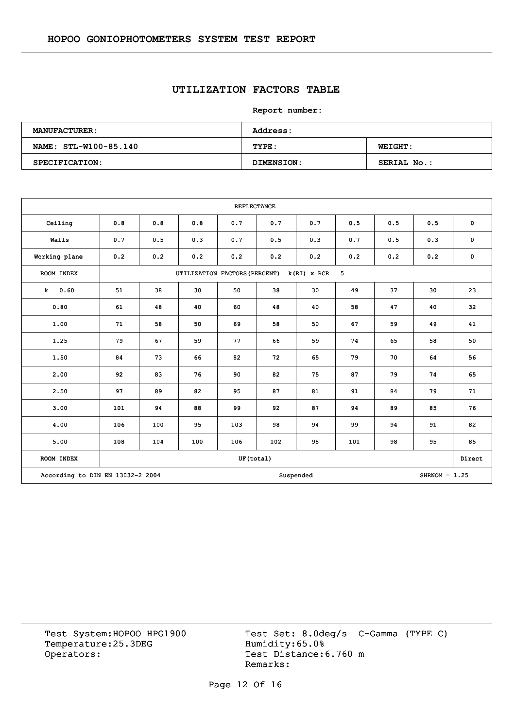## **UTILIZATION FACTORS TABLE**

**Report number:** 

| <b>MANUFACTURER:</b>  | Address:   |                |
|-----------------------|------------|----------------|
| NAME: STL-W100-85.140 | TYPE:      | <b>WEIGHT:</b> |
| SPECIFICATION:        | DIMENSION: | SERIAL No.:    |

|               | <b>REFLECTANCE</b>                                               |     |                               |           |     |                   |     |     |     |           |  |
|---------------|------------------------------------------------------------------|-----|-------------------------------|-----------|-----|-------------------|-----|-----|-----|-----------|--|
| Ceiling       | 0.8                                                              | 0.8 | 0.8                           | 0.7       | 0.7 | 0.7               | 0.5 | 0.5 | 0.5 | 0         |  |
| Walls         | 0.7                                                              | 0.5 | 0.3                           | 0.7       | 0.5 | 0.3               | 0.7 | 0.5 | 0.3 | $\pmb{0}$ |  |
| Working plane | 0.2                                                              | 0.2 | 0.2                           | 0.2       | 0.2 | 0.2               | 0.2 | 0.2 | 0.2 | 0         |  |
| ROOM INDEX    |                                                                  |     | UTILIZATION FACTORS (PERCENT) |           |     | $k(RI)$ x RCR = 5 |     |     |     |           |  |
| $k = 0.60$    | 51                                                               | 38  | 30                            | 50        | 38  | 30                | 49  | 37  | 30  | 23        |  |
| 0.80          | 61                                                               | 48  | 40                            | 60        | 48  | 40                | 58  | 47  | 40  | 32        |  |
| 1.00          | 71                                                               | 58  | 50                            | 69        | 58  | 50                | 67  | 59  | 49  | 41        |  |
| 1.25          | 79                                                               | 67  | 59                            | 77        | 66  | 59                | 74  | 65  | 58  | 50        |  |
| 1.50          | 84                                                               | 73  | 66                            | 82        | 72  | 65                | 79  | 70  | 64  | 56        |  |
| 2.00          | 92                                                               | 83  | 76                            | 90        | 82  | 75                | 87  | 79  | 74  | 65        |  |
| 2.50          | 97                                                               | 89  | 82                            | 95        | 87  | 81                | 91  | 84  | 79  | 71        |  |
| 3.00          | 101                                                              | 94  | 88                            | 99        | 92  | 87                | 94  | 89  | 85  | 76        |  |
| 4.00          | 106                                                              | 100 | 95                            | 103       | 98  | 94                | 99  | 94  | 91  | 82        |  |
| 5.00          | 108                                                              | 104 | 100                           | 106       | 102 | 98                | 101 | 98  | 95  | 85        |  |
| ROOM INDEX    |                                                                  |     |                               | UF(total) |     |                   |     |     |     | Direct    |  |
|               | According to DIN EN 13032-2 2004<br>$SHRNOM = 1.25$<br>Suspended |     |                               |           |     |                   |     |     |     |           |  |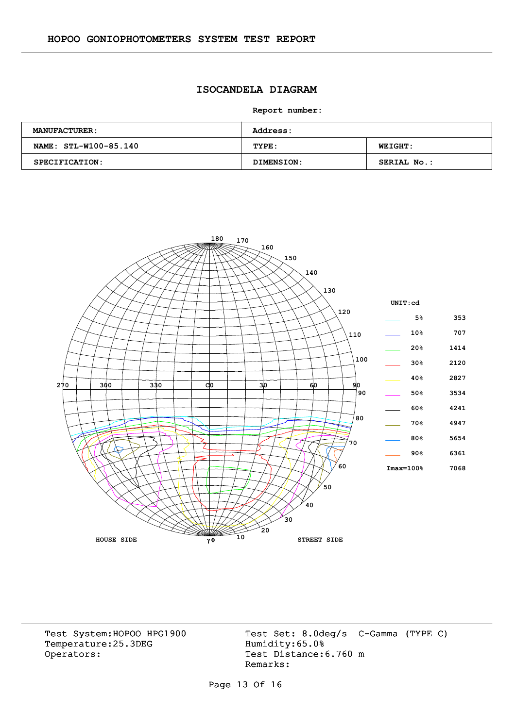### **ISOCANDELA DIAGRAM**

**Report number:** 

| <b>MANUFACTURER:</b>  | <b>Address:</b> |                    |
|-----------------------|-----------------|--------------------|
| NAME: STL-W100-85.140 | TYPE:           | <b>WEIGHT:</b>     |
| <b>SPECIFICATION:</b> | DIMENSION:      | <b>SERIAL No.:</b> |



Temperature:25.3DEG Operators: Test Distance: 6.760 m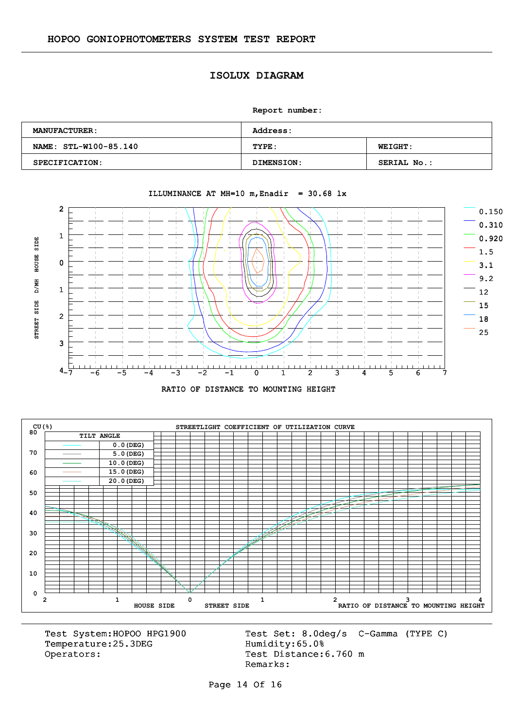#### **ISOLUX DIAGRAM**

**Report number:** 

| <b>MANUFACTURER:</b>  | <b>Address:</b>   |                    |  |  |  |  |
|-----------------------|-------------------|--------------------|--|--|--|--|
| NAME: STL-W100-85.140 | TYPE:             | <b>WEIGHT:</b>     |  |  |  |  |
| SPECIFICATION:        | <b>DIMENSION:</b> | <b>SERIAL No.:</b> |  |  |  |  |



#### ILLUMINANCE AT MH=10 m, Enadir =  $30.68$  lx





Temperature:25.3DEG Operators: Test Distance: 6.760 m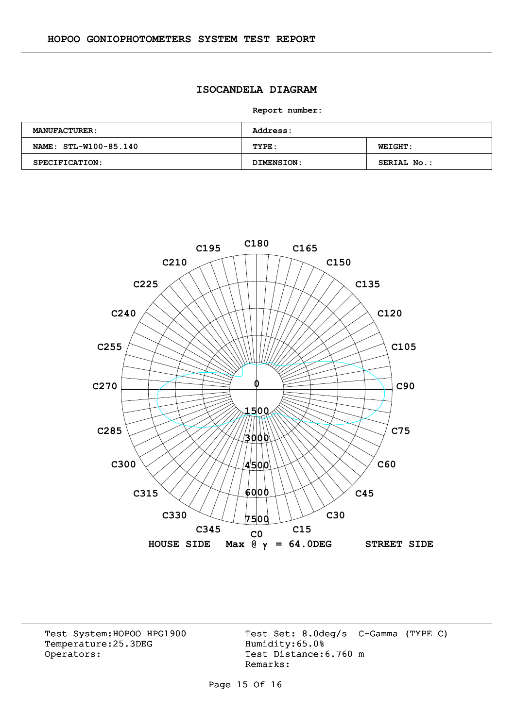#### **ISOCANDELA DIAGRAM**

**Report number:** 

| <b>MANUFACTURER:</b>  | <b>Address:</b> |                    |  |  |  |  |
|-----------------------|-----------------|--------------------|--|--|--|--|
| NAME: STL-W100-85.140 | TYPE:           | <b>WEIGHT:</b>     |  |  |  |  |
| SPECIFICATION:        | DIMENSION:      | <b>SERIAL No.:</b> |  |  |  |  |



Temperature:25.3DEG Operators: Test Distance: 6.760 m